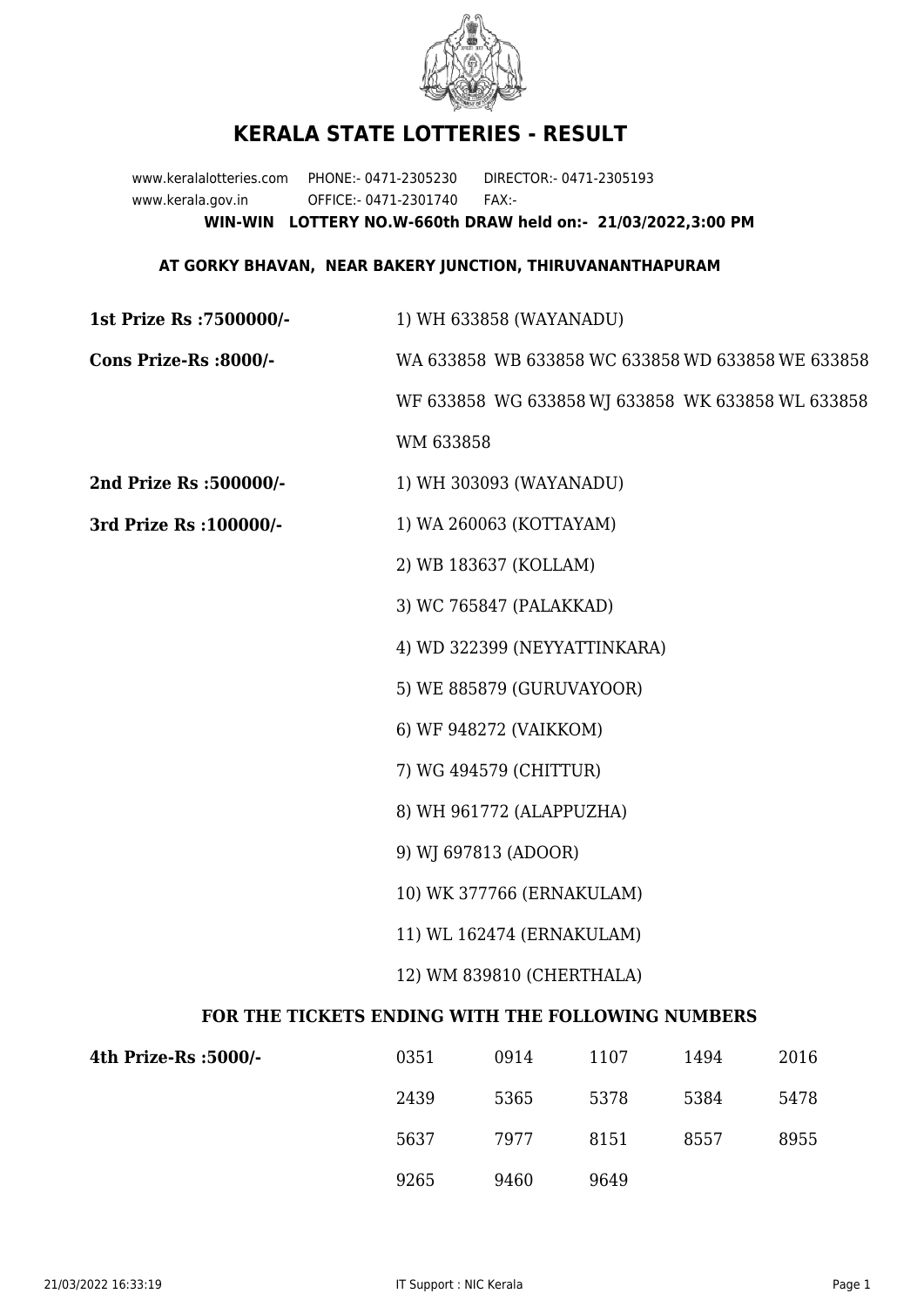

## **KERALA STATE LOTTERIES - RESULT**

www.keralalotteries.com PHONE:- 0471-2305230 DIRECTOR:- 0471-2305193 www.kerala.gov.in OFFICE:- 0471-2301740 FAX:- **WIN-WIN LOTTERY NO.W-660th DRAW held on:- 21/03/2022,3:00 PM**

## **AT GORKY BHAVAN, NEAR BAKERY JUNCTION, THIRUVANANTHAPURAM**

**1st Prize Rs :7500000/-** 1) WH 633858 (WAYANADU) **Cons Prize-Rs :8000/-** WA 633858 WB 633858 WC 633858 WD 633858 WE 633858 WF 633858 WG 633858 WJ 633858 WK 633858 WL 633858

WM 633858

**2nd Prize Rs :500000/-** 1) WH 303093 (WAYANADU)

**3rd Prize Rs :100000/-** 1) WA 260063 (KOTTAYAM)

2) WB 183637 (KOLLAM)

3) WC 765847 (PALAKKAD)

4) WD 322399 (NEYYATTINKARA)

5) WE 885879 (GURUVAYOOR)

6) WF 948272 (VAIKKOM)

7) WG 494579 (CHITTUR)

8) WH 961772 (ALAPPUZHA)

9) WJ 697813 (ADOOR)

10) WK 377766 (ERNAKULAM)

11) WL 162474 (ERNAKULAM)

12) WM 839810 (CHERTHALA)

## **FOR THE TICKETS ENDING WITH THE FOLLOWING NUMBERS**

| 4th Prize-Rs :5000/- | 0351 | 0914 | 1107 | 1494 | 2016 |
|----------------------|------|------|------|------|------|
|                      | 2439 | 5365 | 5378 | 5384 | 5478 |
|                      | 5637 | 7977 | 8151 | 8557 | 8955 |
|                      | 9265 | 9460 | 9649 |      |      |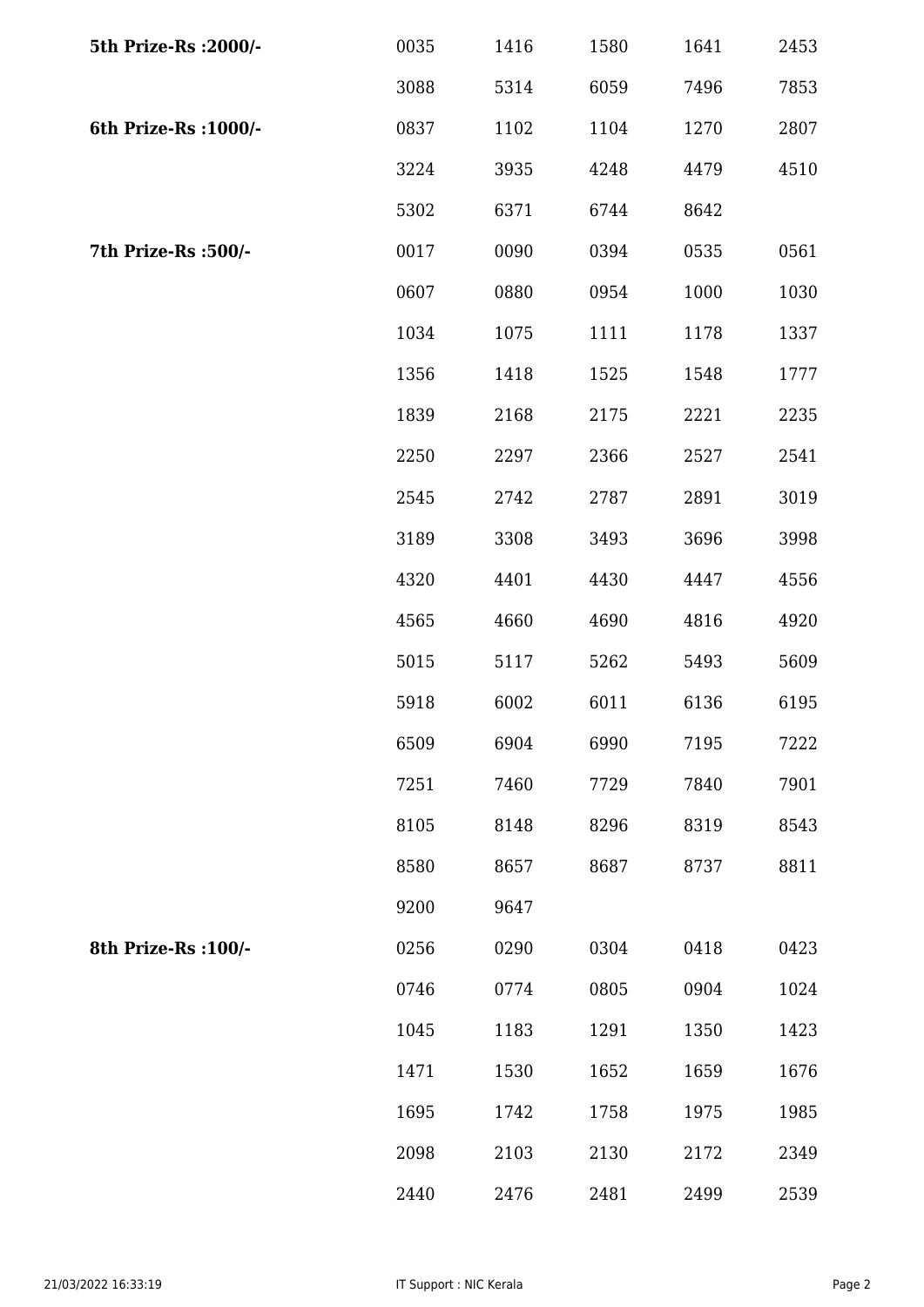| 5th Prize-Rs : 2000/- | 0035 | 1416 | 1580 | 1641 | 2453 |
|-----------------------|------|------|------|------|------|
|                       | 3088 | 5314 | 6059 | 7496 | 7853 |
| 6th Prize-Rs : 1000/- | 0837 | 1102 | 1104 | 1270 | 2807 |
|                       | 3224 | 3935 | 4248 | 4479 | 4510 |
|                       | 5302 | 6371 | 6744 | 8642 |      |
| 7th Prize-Rs :500/-   | 0017 | 0090 | 0394 | 0535 | 0561 |
|                       | 0607 | 0880 | 0954 | 1000 | 1030 |
|                       | 1034 | 1075 | 1111 | 1178 | 1337 |
|                       | 1356 | 1418 | 1525 | 1548 | 1777 |
|                       | 1839 | 2168 | 2175 | 2221 | 2235 |
|                       | 2250 | 2297 | 2366 | 2527 | 2541 |
|                       | 2545 | 2742 | 2787 | 2891 | 3019 |
|                       | 3189 | 3308 | 3493 | 3696 | 3998 |
|                       | 4320 | 4401 | 4430 | 4447 | 4556 |
|                       | 4565 | 4660 | 4690 | 4816 | 4920 |
|                       | 5015 | 5117 | 5262 | 5493 | 5609 |
|                       | 5918 | 6002 | 6011 | 6136 | 6195 |
|                       | 6509 | 6904 | 6990 | 7195 | 7222 |
|                       | 7251 | 7460 | 7729 | 7840 | 7901 |
|                       | 8105 | 8148 | 8296 | 8319 | 8543 |
|                       | 8580 | 8657 | 8687 | 8737 | 8811 |
|                       | 9200 | 9647 |      |      |      |
| 8th Prize-Rs : 100/-  | 0256 | 0290 | 0304 | 0418 | 0423 |
|                       | 0746 | 0774 | 0805 | 0904 | 1024 |
|                       | 1045 | 1183 | 1291 | 1350 | 1423 |
|                       | 1471 | 1530 | 1652 | 1659 | 1676 |
|                       | 1695 | 1742 | 1758 | 1975 | 1985 |
|                       | 2098 | 2103 | 2130 | 2172 | 2349 |
|                       | 2440 | 2476 | 2481 | 2499 | 2539 |